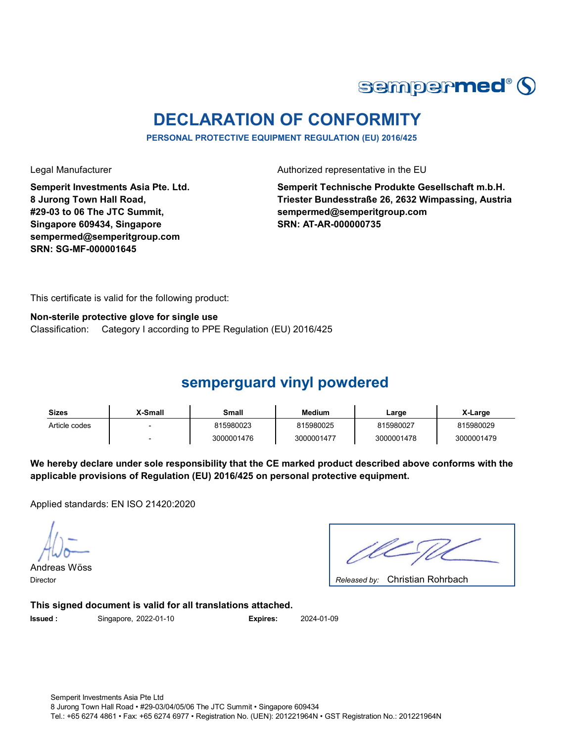

## **DECLARATION OF CONFORMITY**

**PERSONAL PROTECTIVE EQUIPMENT REGULATION (EU) 2016/425**

**Semperit Investments Asia Pte. Ltd. 8 Jurong Town Hall Road, #29-03 to 06 The JTC Summit, Singapore 609434, Singapore sempermed@semperitgroup.com SRN: SG-MF-000001645**

Legal Manufacturer **Authorized representative in the EU** 

**Semperit Technische Produkte Gesellschaft m.b.H. Triester Bundesstraße 26, 2632 Wimpassing, Austria sempermed@semperitgroup.com SRN: AT-AR-000000735**

This certificate is valid for the following product:

#### **Non-sterile protective glove for single use**

Classification: Category I according to PPE Regulation (EU) 2016/425

### **semperguard vinyl powdered**

| <b>Sizes</b>  | X-Small | Small      | Medium     | Large      | X-Large    |
|---------------|---------|------------|------------|------------|------------|
| Article codes |         | 815980023  | 815980025  | 815980027  | 815980029  |
|               |         | 3000001476 | 3000001477 | 3000001478 | 3000001479 |

**We hereby declare under sole responsibility that the CE marked product described above conforms with the applicable provisions of Regulation (EU) 2016/425 on personal protective equipment.**

Applied standards: EN ISO 21420:2020

Andreas Wöss Director *Released by:* 

Released by: Christian Rohrbach

**This signed document is valid for all translations attached.**

**Issued :** Singapore, 2022-01-10

2022-01-10 **Expires:** 2024-01-09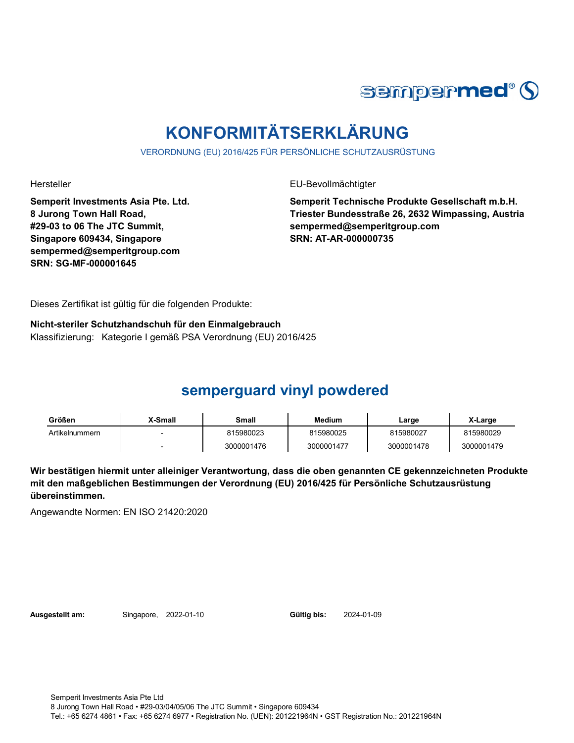

# **KONFORMITÄTSERKLÄRUNG**

VERORDNUNG (EU) 2016/425 FÜR PERSÖNLICHE SCHUTZAUSRÜSTUNG

**Semperit Investments Asia Pte. Ltd. 8 Jurong Town Hall Road, #29-03 to 06 The JTC Summit, Singapore 609434, Singapore sempermed@semperitgroup.com SRN: SG-MF-000001645**

Hersteller EU-Bevollmächtigter

**Semperit Technische Produkte Gesellschaft m.b.H. Triester Bundesstraße 26, 2632 Wimpassing, Austria sempermed@semperitgroup.com SRN: AT-AR-000000735**

Dieses Zertifikat ist gültig für die folgenden Produkte:

**Nicht-steriler Schutzhandschuh für den Einmalgebrauch** Klassifizierung: Kategorie I gemäß PSA Verordnung (EU) 2016/425

## **semperguard vinyl powdered**

| Größen         | X-Small | Small      | <b>Medium</b> | ∟arge      | X-Large    |
|----------------|---------|------------|---------------|------------|------------|
| Artikelnummern |         | 815980023  | 815980025     | 815980027  | 815980029  |
|                |         | 3000001476 | 3000001477    | 3000001478 | 3000001479 |

**Wir bestätigen hiermit unter alleiniger Verantwortung, dass die oben genannten CE gekennzeichneten Produkte mit den maßgeblichen Bestimmungen der Verordnung (EU) 2016/425 für Persönliche Schutzausrüstung übereinstimmen.**

Angewandte Normen: EN ISO 21420:2020

**Ausgestellt am:** Singapore, 2022-01-10

Gültig bis: 2024-01-09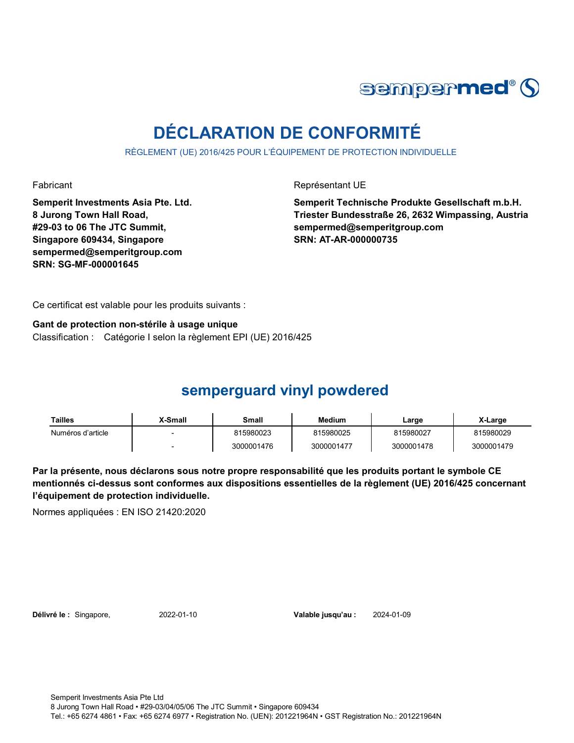

# **DÉCLARATION DE CONFORMITÉ**

RÈGLEMENT (UE) 2016/425 POUR L'ÉQUIPEMENT DE PROTECTION INDIVIDUELLE

Fabricant **Représentant UE** 

**Semperit Investments Asia Pte. Ltd. 8 Jurong Town Hall Road, #29-03 to 06 The JTC Summit, Singapore 609434, Singapore sempermed@semperitgroup.com SRN: SG-MF-000001645**

**Semperit Technische Produkte Gesellschaft m.b.H. Triester Bundesstraße 26, 2632 Wimpassing, Austria sempermed@semperitgroup.com SRN: AT-AR-000000735**

Ce certificat est valable pour les produits suivants :

**Gant de protection non-stérile à usage unique** Classification : Catégorie I selon la règlement EPI (UE) 2016/425

## **semperguard vinyl powdered**

| Tailles           | X-Small | Small      | <b>Medium</b> | Large      | X-Large    |
|-------------------|---------|------------|---------------|------------|------------|
| Numéros d'article |         | 815980023  | 815980025     | 815980027  | 815980029  |
|                   |         | 3000001476 | 3000001477    | 3000001478 | 3000001479 |

**Par la présente, nous déclarons sous notre propre responsabilité que les produits portant le symbole CE mentionnés ci-dessus sont conformes aux dispositions essentielles de la règlement (UE) 2016/425 concernant l'équipement de protection individuelle.**

Normes appliquées : EN ISO 21420:2020

**Délivré le :** Singapore, 2022-01-10

Valable jusqu'au : 2024-01-09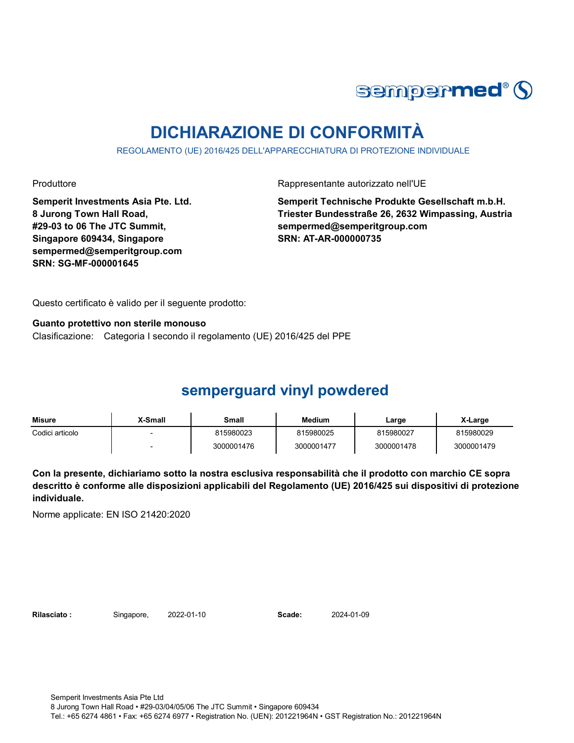

## **DICHIARAZIONE DI CONFORMITÀ**

REGOLAMENTO (UE) 2016/425 DELL'APPARECCHIATURA DI PROTEZIONE INDIVIDUALE

Produttore **Rappresentante autorizzato nell'UE** 

**Semperit Investments Asia Pte. Ltd. 8 Jurong Town Hall Road, #29-03 to 06 The JTC Summit, Singapore 609434, Singapore sempermed@semperitgroup.com SRN: SG-MF-000001645**

**Semperit Technische Produkte Gesellschaft m.b.H. Triester Bundesstraße 26, 2632 Wimpassing, Austria sempermed@semperitgroup.com SRN: AT-AR-000000735**

Questo certificato è valido per il seguente prodotto:

**Guanto protettivo non sterile monouso** Clasificazione: Categoria I secondo il regolamento (UE) 2016/425 del PPE

## **semperguard vinyl powdered**

| <b>Misure</b>   | X-Small | Small      | <b>Medium</b> | ∟arge      | X-Large    |
|-----------------|---------|------------|---------------|------------|------------|
| Codici articolo |         | 815980023  | 815980025     | 815980027  | 815980029  |
|                 |         | 3000001476 | 3000001477    | 3000001478 | 3000001479 |

**Con la presente, dichiariamo sotto la nostra esclusiva responsabilità che il prodotto con marchio CE sopra descritto è conforme alle disposizioni applicabili del Regolamento (UE) 2016/425 sui dispositivi di protezione individuale.**

Norme applicate: EN ISO 21420:2020

Rilasciato: Singapore, 2022-01-10 **Scade:** 

2024-01-09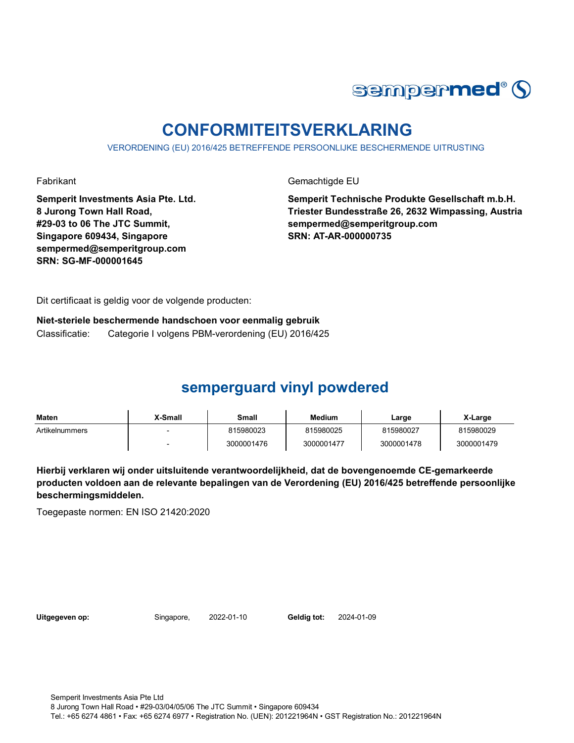

## **CONFORMITEITSVERKLARING**

VERORDENING (EU) 2016/425 BETREFFENDE PERSOONLIJKE BESCHERMENDE UITRUSTING

Fabrikant Gemachtigde EU

**Semperit Investments Asia Pte. Ltd. 8 Jurong Town Hall Road, #29-03 to 06 The JTC Summit, Singapore 609434, Singapore sempermed@semperitgroup.com SRN: SG-MF-000001645**

**Semperit Technische Produkte Gesellschaft m.b.H. Triester Bundesstraße 26, 2632 Wimpassing, Austria sempermed@semperitgroup.com SRN: AT-AR-000000735**

Dit certificaat is geldig voor de volgende producten:

**Niet-steriele beschermende handschoen voor eenmalig gebruik** Classificatie: Categorie I volgens PBM-verordening (EU) 2016/425

## **semperguard vinyl powdered**

| <b>Maten</b>   | X-Small | Small      | <b>Medium</b> | Large      | X-Large    |
|----------------|---------|------------|---------------|------------|------------|
| Artikelnummers |         | 815980023  | 815980025     | 815980027  | 815980029  |
|                |         | 3000001476 | 3000001477    | 3000001478 | 3000001479 |

**Hierbij verklaren wij onder uitsluitende verantwoordelijkheid, dat de bovengenoemde CE-gemarkeerde producten voldoen aan de relevante bepalingen van de Verordening (EU) 2016/425 betreffende persoonlijke beschermingsmiddelen.**

Toegepaste normen: EN ISO 21420:2020

Uitgegeven op: Singapore, 2022-01-10

Geldig tot: 2024-01-09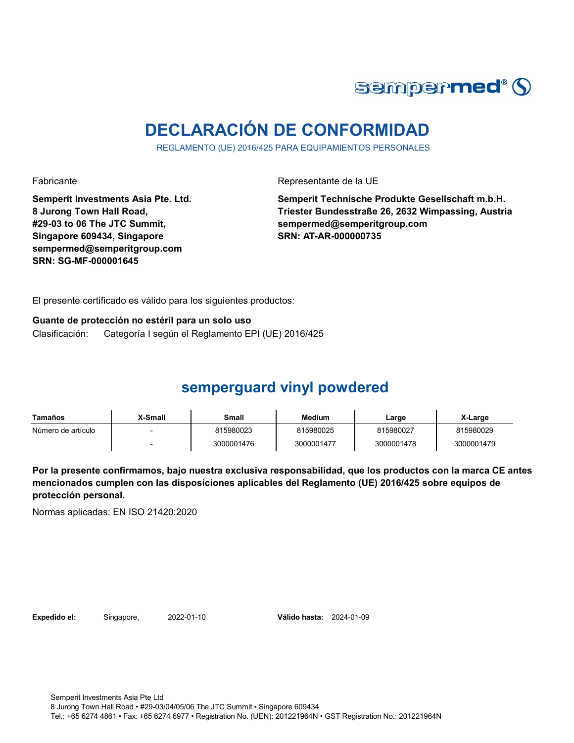

# **DECLARACIÓN DE CONFORMIDAD**

REGLAMENTO (UE) 2016/425 PARA EQUIPAMIENTOS PERSONALES

Fabricante Representante de la UE

**Semperit Investments Asia Pte. Ltd. 8 Jurong Town Hall Road, #29-03 to 06 The JTC Summit, Singapore 609434, Singapore sempermed@semperitgroup.com SRN: SG-MF-000001645**

**Semperit Technische Produkte Gesellschaft m.b.H. Triester Bundesstraße 26, 2632 Wimpassing, Austria sempermed@semperitgroup.com SRN: AT-AR-000000735**

El presente certificado es válido para los siguientes productos:

**Guante de protección no estéril para un solo uso** Clasificación: Categoría I según el Reglamento EPI (UE) 2016/425

## **semperguard vinyl powdered**

| Tamaños            | X-Small | Small      | Medium     | Large      | X-Large    |
|--------------------|---------|------------|------------|------------|------------|
| Número de artículo |         | 815980023  | 815980025  | 815980027  | 815980029  |
|                    |         | 3000001476 | 3000001477 | 3000001478 | 3000001479 |

**Por la presente confirmamos, bajo nuestra exclusiva responsabilidad, que los productos con la marca CE antes mencionados cumplen con las disposiciones aplicables del Reglamento (UE) 2016/425 sobre equipos de protección personal.**

Normas aplicadas: EN ISO 21420:2020

**Expedido el:** Singapore, 2022-01-10

Válido hasta: 2024-01-09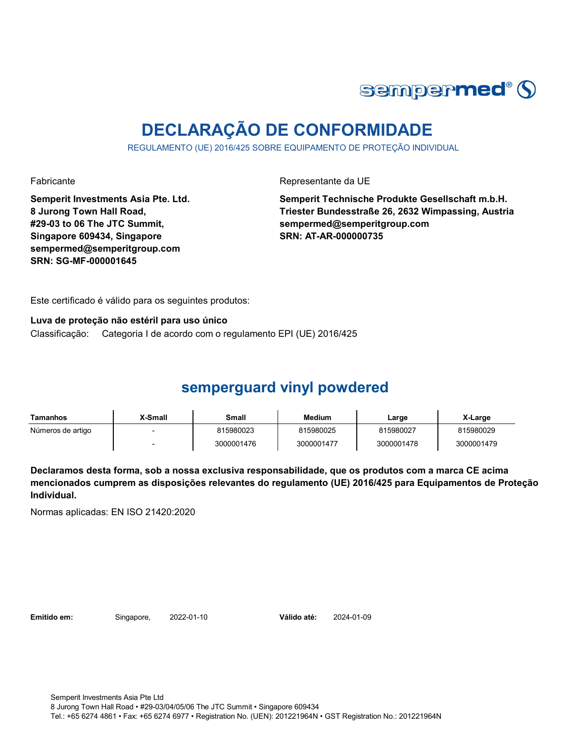

## **DECLARAÇÃO DE CONFORMIDADE**

REGULAMENTO (UE) 2016/425 SOBRE EQUIPAMENTO DE PROTEÇÃO INDIVIDUAL

Fabricante Representante da UE

**Semperit Investments Asia Pte. Ltd. 8 Jurong Town Hall Road, #29-03 to 06 The JTC Summit, Singapore 609434, Singapore sempermed@semperitgroup.com SRN: SG-MF-000001645**

**Semperit Technische Produkte Gesellschaft m.b.H. Triester Bundesstraße 26, 2632 Wimpassing, Austria sempermed@semperitgroup.com SRN: AT-AR-000000735**

Este certificado é válido para os seguintes produtos:

**Luva de proteção não estéril para uso único** Classificação: Categoria I de acordo com o regulamento EPI (UE) 2016/425

## **semperguard vinyl powdered**

| Tamanhos          | <b>X-Small</b> | Small      | Medium     | Large      | X-Large    |
|-------------------|----------------|------------|------------|------------|------------|
| Números de artigo |                | 815980023  | 815980025  | 815980027  | 815980029  |
|                   |                | 3000001476 | 3000001477 | 3000001478 | 3000001479 |

**Declaramos desta forma, sob a nossa exclusiva responsabilidade, que os produtos com a marca CE acima mencionados cumprem as disposições relevantes do regulamento (UE) 2016/425 para Equipamentos de Proteção Individual.**

Normas aplicadas: EN ISO 21420:2020

**Emitido em:** Singapore, 2022-01-10

Válido até: 2024-01-09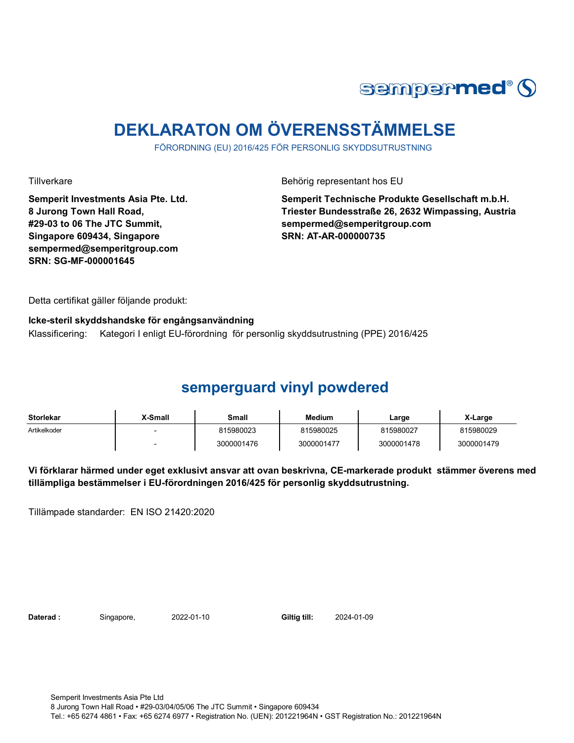

## **DEKLARATON OM ÖVERENSSTÄMMELSE**

FÖRORDNING (EU) 2016/425 FÖR PERSONLIG SKYDDSUTRUSTNING

Tillverkare Behörig representant hos EU

**Semperit Investments Asia Pte. Ltd. 8 Jurong Town Hall Road, #29-03 to 06 The JTC Summit, Singapore 609434, Singapore sempermed@semperitgroup.com SRN: SG-MF-000001645**

**Semperit Technische Produkte Gesellschaft m.b.H. Triester Bundesstraße 26, 2632 Wimpassing, Austria sempermed@semperitgroup.com SRN: AT-AR-000000735**

Detta certifikat gäller följande produkt:

**Icke-steril skyddshandske för engångsanvändning** 

Klassificering: Kategori I enligt EU-förordning för personlig skyddsutrustning (PPE) 2016/425

### **semperguard vinyl powdered**

| <b>Storlekar</b> | X-Small | Small      | <b>Medium</b> | Large      | X-Large    |
|------------------|---------|------------|---------------|------------|------------|
| Artikelkoder     |         | 815980023  | 815980025     | 815980027  | 815980029  |
|                  |         | 3000001476 | 3000001477    | 3000001478 | 3000001479 |

**Vi förklarar härmed under eget exklusivt ansvar att ovan beskrivna, CE-markerade produkt stämmer överens med tillämpliga bestämmelser i EU-förordningen 2016/425 för personlig skyddsutrustning.**

Tillämpade standarder: EN ISO 21420:2020

Daterad : Singapore, 2022-01-10 Giltig till:

2024-01-09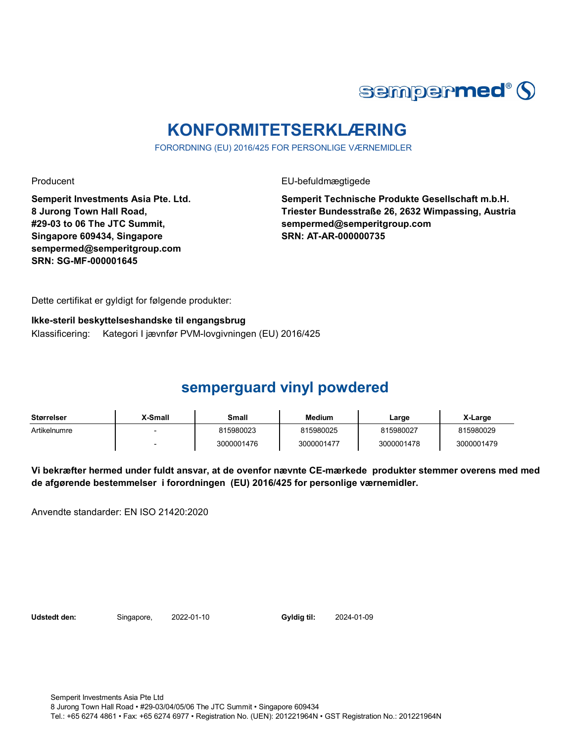

## **KONFORMITETSERKLÆRING**

FORORDNING (EU) 2016/425 FOR PERSONLIGE VÆRNEMIDLER

Producent **EU-befuldmægtigede** 

**Semperit Investments Asia Pte. Ltd. 8 Jurong Town Hall Road, #29-03 to 06 The JTC Summit, Singapore 609434, Singapore sempermed@semperitgroup.com SRN: SG-MF-000001645**

**Semperit Technische Produkte Gesellschaft m.b.H. Triester Bundesstraße 26, 2632 Wimpassing, Austria sempermed@semperitgroup.com SRN: AT-AR-000000735**

Dette certifikat er gyldigt for følgende produkter:

**Ikke-steril beskyttelseshandske til engangsbrug** Klassificering: Kategori I jævnfør PVM-lovgivningen (EU) 2016/425

## **semperguard vinyl powdered**

| Størrelser   | X-Small | Small      | <b>Medium</b> | Large      | X-Large    |
|--------------|---------|------------|---------------|------------|------------|
| Artikelnumre |         | 815980023  | 815980025     | 815980027  | 815980029  |
|              |         | 3000001476 | 3000001477    | 3000001478 | 3000001479 |

**Vi bekræfter hermed under fuldt ansvar, at de ovenfor nævnte CE-mærkede produkter stemmer overens med med de afgørende bestemmelser i forordningen (EU) 2016/425 for personlige værnemidler.** 

Anvendte standarder: EN ISO 21420:2020

**Udstedt den:** Singapore, 2022-01-10

Gyldig til: 2024-01-09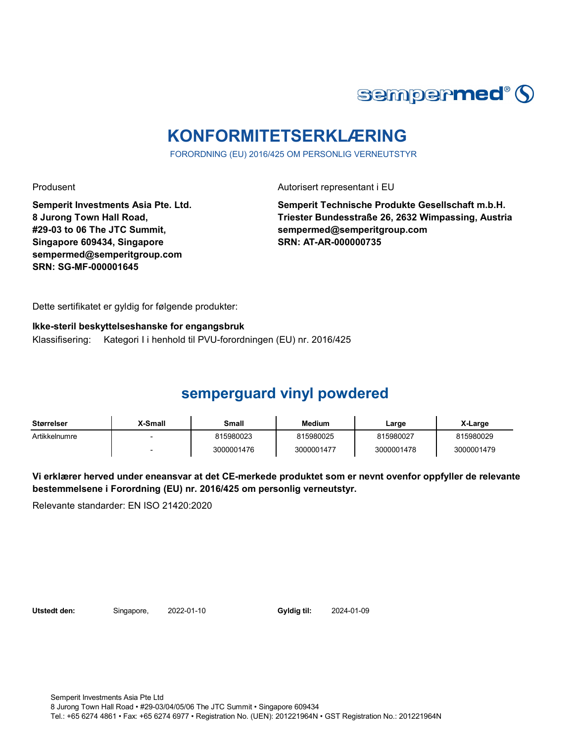

## **KONFORMITETSERKLÆRING**

FORORDNING (EU) 2016/425 OM PERSONLIG VERNEUTSTYR

Produsent Autorisert representant i EU

**Semperit Investments Asia Pte. Ltd. 8 Jurong Town Hall Road, #29-03 to 06 The JTC Summit, Singapore 609434, Singapore sempermed@semperitgroup.com SRN: SG-MF-000001645**

**Semperit Technische Produkte Gesellschaft m.b.H. Triester Bundesstraße 26, 2632 Wimpassing, Austria sempermed@semperitgroup.com SRN: AT-AR-000000735**

Dette sertifikatet er gyldig for følgende produkter:

#### **Ikke-steril beskyttelseshanske for engangsbruk**

Klassifisering: Kategori I i henhold til PVU-forordningen (EU) nr. 2016/425

### **semperguard vinyl powdered**

| Størrelser    | <b>X-Small</b>           | Small      | <b>Medium</b> | Large      | X-Large    |
|---------------|--------------------------|------------|---------------|------------|------------|
| Artikkelnumre |                          | 815980023  | 815980025     | 815980027  | 815980029  |
|               | $\overline{\phantom{0}}$ | 3000001476 | 3000001477    | 3000001478 | 3000001479 |

**Vi erklærer herved under eneansvar at det CE-merkede produktet som er nevnt ovenfor oppfyller de relevante bestemmelsene i Forordning (EU) nr. 2016/425 om personlig verneutstyr.**

Relevante standarder: EN ISO 21420:2020

Utstedt den: Singapore, 2022-01-10

Gyldig til: 2024-01-09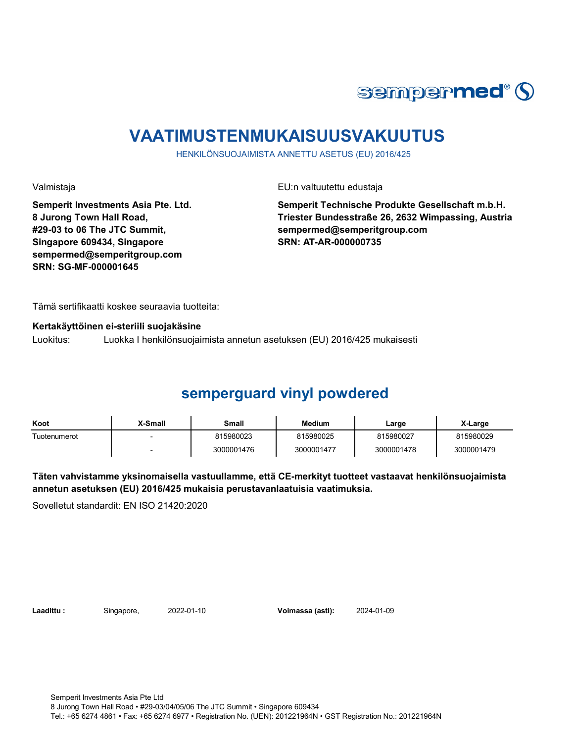

## **VAATIMUSTENMUKAISUUSVAKUUTUS**

HENKILÖNSUOJAIMISTA ANNETTU ASETUS (EU) 2016/425

Valmistaja EU:n valtuutettu edustaja

**Semperit Investments Asia Pte. Ltd. 8 Jurong Town Hall Road, #29-03 to 06 The JTC Summit, Singapore 609434, Singapore sempermed@semperitgroup.com SRN: SG-MF-000001645**

**Semperit Technische Produkte Gesellschaft m.b.H. Triester Bundesstraße 26, 2632 Wimpassing, Austria sempermed@semperitgroup.com SRN: AT-AR-000000735**

Tämä sertifikaatti koskee seuraavia tuotteita:

#### **Kertakäyttöinen ei-steriili suojakäsine**

Luokitus: Luokka I henkilönsuojaimista annetun asetuksen (EU) 2016/425 mukaisesti

### **semperguard vinyl powdered**

| Koot         | X-Small | Small      | <b>Medium</b> | Large      | X-Large    |
|--------------|---------|------------|---------------|------------|------------|
| Tuotenumerot |         | 815980023  | 815980025     | 815980027  | 815980029  |
|              |         | 3000001476 | 3000001477    | 3000001478 | 3000001479 |

**Täten vahvistamme yksinomaisella vastuullamme, että CE-merkityt tuotteet vastaavat henkilönsuojaimista annetun asetuksen (EU) 2016/425 mukaisia perustavanlaatuisia vaatimuksia.**

Sovelletut standardit: EN ISO 21420:2020

**Laadittu :** Singapore, **Voimassa (asti):** 2022-01-10 2024-01-09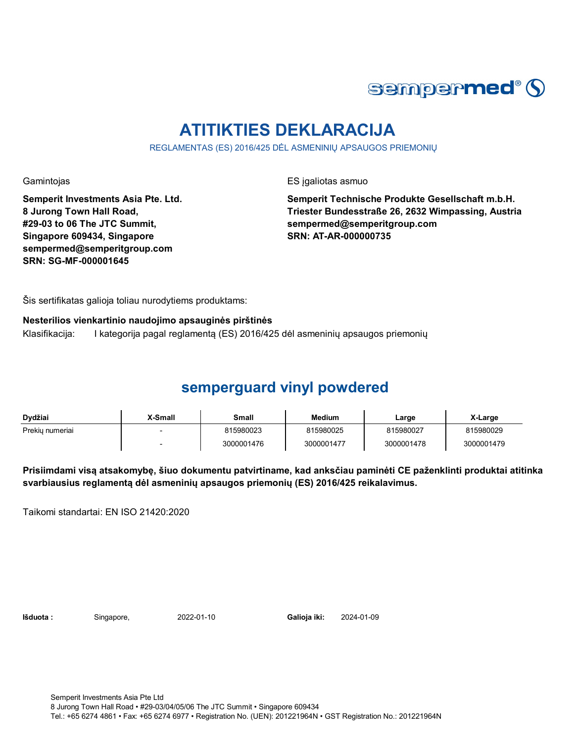

## **ATITIKTIES DEKLARACIJA**

REGLAMENTAS (ES) 2016/425 DĖL ASMENINIŲ APSAUGOS PRIEMONIŲ

Gamintojas **ES** įgaliotas asmuo

**Semperit Investments Asia Pte. Ltd. 8 Jurong Town Hall Road, #29-03 to 06 The JTC Summit, Singapore 609434, Singapore sempermed@semperitgroup.com SRN: SG-MF-000001645**

**Semperit Technische Produkte Gesellschaft m.b.H. Triester Bundesstraße 26, 2632 Wimpassing, Austria sempermed@semperitgroup.com SRN: AT-AR-000000735**

Šis sertifikatas galioja toliau nurodytiems produktams:

**Nesterilios vienkartinio naudojimo apsauginės pirštinės**

Klasifikacija: I kategorija pagal reglamentą (ES) 2016/425 dėl asmeninių apsaugos priemonių

## **semperguard vinyl powdered**

| Dydžiai         | X-Small | Small      | <b>Medium</b> | Large      | X-Large    |
|-----------------|---------|------------|---------------|------------|------------|
| Prekiu numeriai |         | 815980023  | 815980025     | 815980027  | 815980029  |
|                 |         | 3000001476 | 3000001477    | 3000001478 | 3000001479 |

**Prisiimdami visą atsakomybę, šiuo dokumentu patvirtiname, kad anksčiau paminėti CE paženklinti produktai atitinka svarbiausius reglamentą dėl asmeninių apsaugos priemonių (ES) 2016/425 reikalavimus.**

Taikomi standartai: EN ISO 21420:2020

**Išduota :** Singapore, **Galioja iki:** 2022-01-10 2024-01-09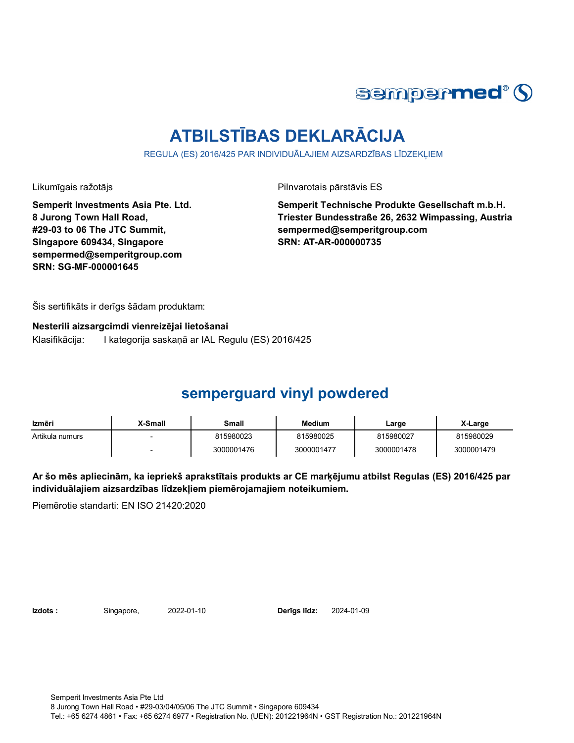

# **ATBILSTĪBAS DEKLARĀCIJA**

REGULA (ES) 2016/425 PAR INDIVIDUĀLAJIEM AIZSARDZĪBAS LĪDZEKLIEM

Likumīgais ražotājs **Pilnvarotais pārstāvis ES** 

**Semperit Investments Asia Pte. Ltd. 8 Jurong Town Hall Road, #29-03 to 06 The JTC Summit, Singapore 609434, Singapore sempermed@semperitgroup.com SRN: SG-MF-000001645**

**Semperit Technische Produkte Gesellschaft m.b.H. Triester Bundesstraße 26, 2632 Wimpassing, Austria sempermed@semperitgroup.com SRN: AT-AR-000000735**

Šis sertifikāts ir derīgs šādam produktam:

**Nesterili aizsargcimdi vienreizējai lietošanai** Klasifikācija: I kategorija saskaņā ar IAL Regulu (ES) 2016/425

### **semperguard vinyl powdered**

| Izmēri          | X-Small | Small      | <b>Medium</b> | Large      | X-Large    |
|-----------------|---------|------------|---------------|------------|------------|
| Artikula numurs |         | 815980023  | 815980025     | 815980027  | 815980029  |
|                 |         | 3000001476 | 3000001477    | 3000001478 | 3000001479 |

**Ar šo mēs apliecinām, ka iepriekš aprakstītais produkts ar CE marķējumu atbilst Regulas (ES) 2016/425 par individuālajiem aizsardzības līdzekļiem piemērojamajiem noteikumiem.**

Piemērotie standarti: EN ISO 21420:2020

**Izdots :** Singapore, 2022-01-10 **Derīgs līdz:** 2024-01-09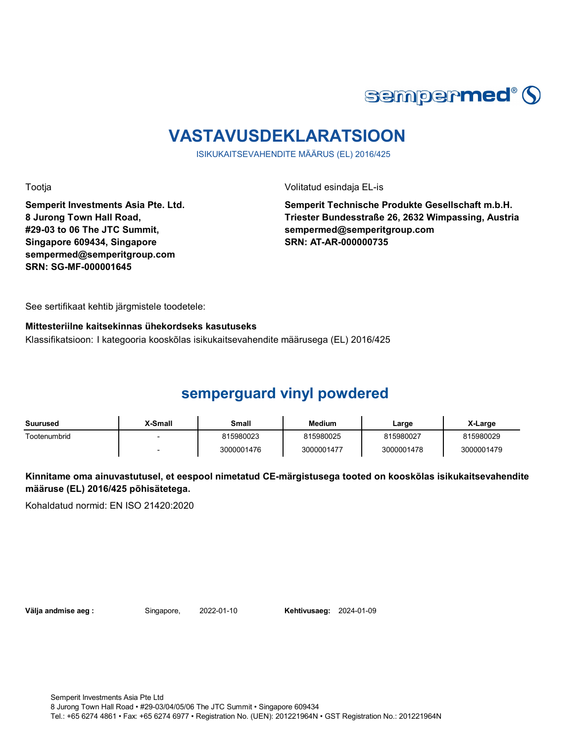

## **VASTAVUSDEKLARATSIOON**

ISIKUKAITSEVAHENDITE MÄÄRUS (EL) 2016/425

Tootja Volitatud esindaja EL-is

**Semperit Investments Asia Pte. Ltd. 8 Jurong Town Hall Road, #29-03 to 06 The JTC Summit, Singapore 609434, Singapore sempermed@semperitgroup.com SRN: SG-MF-000001645**

**Semperit Technische Produkte Gesellschaft m.b.H. Triester Bundesstraße 26, 2632 Wimpassing, Austria sempermed@semperitgroup.com SRN: AT-AR-000000735**

See sertifikaat kehtib järgmistele toodetele:

#### **Mittesteriilne kaitsekinnas ühekordseks kasutuseks**

Klassifikatsioon: I kategooria kooskõlas isikukaitsevahendite määrusega (EL) 2016/425

### **semperguard vinyl powdered**

| Suurused     | X-Small | Small      | <b>Medium</b> | ∟arge      | X-Large    |
|--------------|---------|------------|---------------|------------|------------|
| Tootenumbrid |         | 815980023  | 815980025     | 815980027  | 815980029  |
|              |         | 3000001476 | 3000001477    | 3000001478 | 3000001479 |

**Kinnitame oma ainuvastutusel, et eespool nimetatud CE-märgistusega tooted on kooskõlas isikukaitsevahendite määruse (EL) 2016/425 põhisätetega.**

Kohaldatud normid: EN ISO 21420:2020

**Välja andmise aeg :** Singapore, 2022-01-10

**Kehtivusaeg: 2024-01-09**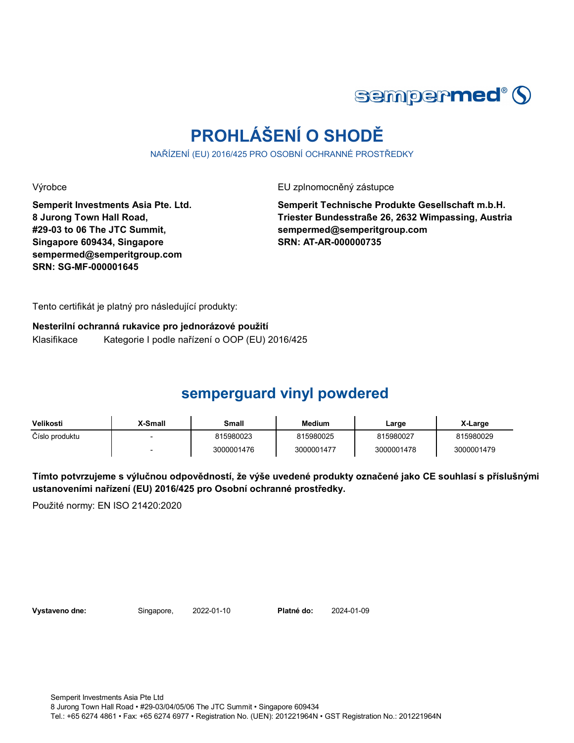

# **PROHLÁŠENÍ O SHODĚ**

NAŘÍZENÍ (EU) 2016/425 PRO OSOBNÍ OCHRANNÉ PROSTŘEDKY

Výrobce EU zplnomocněný zástupce

**Semperit Investments Asia Pte. Ltd. 8 Jurong Town Hall Road, #29-03 to 06 The JTC Summit, Singapore 609434, Singapore sempermed@semperitgroup.com SRN: SG-MF-000001645**

**Semperit Technische Produkte Gesellschaft m.b.H. Triester Bundesstraße 26, 2632 Wimpassing, Austria sempermed@semperitgroup.com SRN: AT-AR-000000735**

Tento certifikát je platný pro následující produkty:

**Nesterilní ochranná rukavice pro jednorázové použití** Klasifikace Kategorie I podle nařízení o OOP (EU) 2016/425

### **semperguard vinyl powdered**

| Velikosti      | <b>X-Small</b> | Small      | <b>Medium</b> | Large      | X-Large    |
|----------------|----------------|------------|---------------|------------|------------|
| Číslo produktu |                | 815980023  | 815980025     | 815980027  | 815980029  |
|                |                | 3000001476 | 3000001477    | 3000001478 | 3000001479 |

**Tímto potvrzujeme s výlučnou odpovědností, že výše uvedené produkty označené jako CE souhlasí s příslušnými ustanoveními nařízení (EU) 2016/425 pro Osobní ochranné prostředky.**

Použité normy: EN ISO 21420:2020

Vystaveno dne: Singapore, 2022-01-10

Platné do: 2024-01-09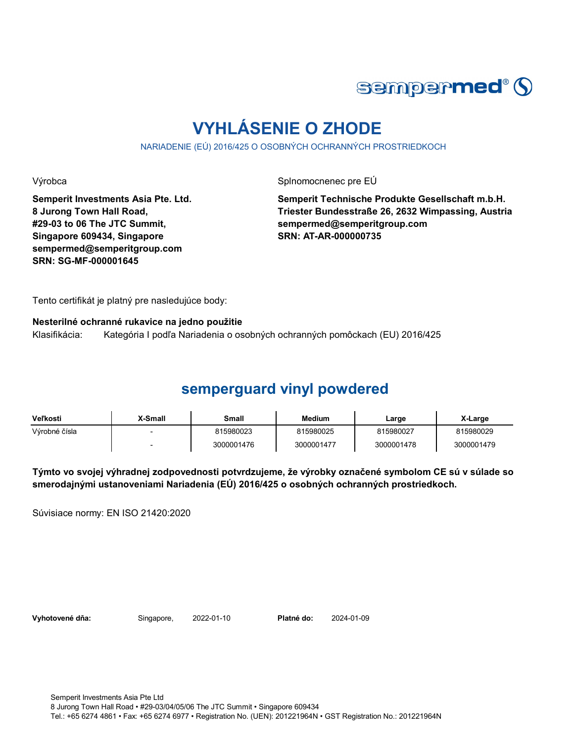

## **VYHLÁSENIE O ZHODE**

NARIADENIE (EÚ) 2016/425 O OSOBNÝCH OCHRANNÝCH PROSTRIEDKOCH

Výrobca **Splnomocnenec pre EÚ** 

**Semperit Investments Asia Pte. Ltd. 8 Jurong Town Hall Road, #29-03 to 06 The JTC Summit, Singapore 609434, Singapore sempermed@semperitgroup.com SRN: SG-MF-000001645**

**Semperit Technische Produkte Gesellschaft m.b.H. Triester Bundesstraße 26, 2632 Wimpassing, Austria sempermed@semperitgroup.com SRN: AT-AR-000000735**

Tento certifikát je platný pre nasledujúce body:

#### **Nesterilné ochranné rukavice na jedno použitie**

Klasifikácia: Kategória I podľa Nariadenia o osobných ochranných pomôckach (EU) 2016/425

### **semperguard vinyl powdered**

| Veľkosti      | <b>X-Small</b> | Small      | <b>Medium</b> | Large      | X-Large    |
|---------------|----------------|------------|---------------|------------|------------|
| Výrobné čísla |                | 815980023  | 815980025     | 815980027  | 815980029  |
|               |                | 3000001476 | 3000001477    | 3000001478 | 3000001479 |

**Týmto vo svojej výhradnej zodpovednosti potvrdzujeme, že výrobky označené symbolom CE sú v súlade so smerodajnými ustanoveniami Nariadenia (EÚ) 2016/425 o osobných ochranných prostriedkoch.**

Súvisiace normy: EN ISO 21420:2020

Vyhotovené dňa: Singapore, 2022-01-10 Platné do:

2024-01-09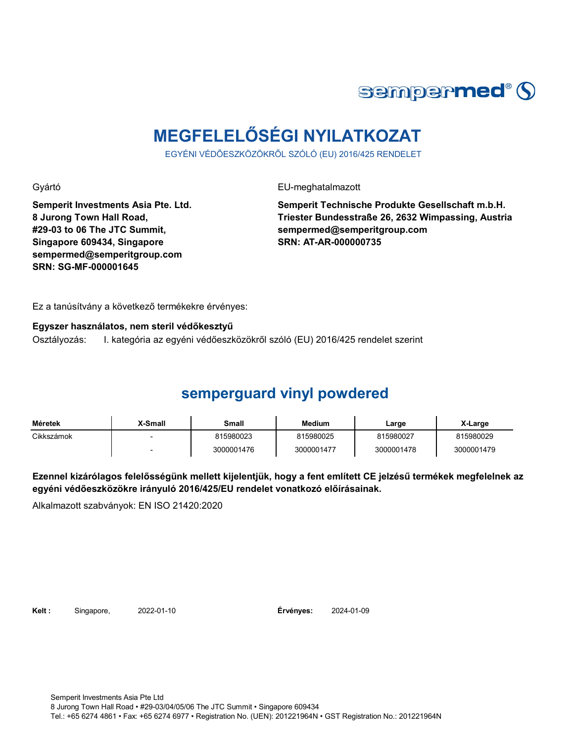

# **MEGFELELŐSÉGI NYILATKOZAT**

EGYÉNI VÉDŐESZKÖZÖKRŐL SZÓLÓ (EU) 2016/425 RENDELET

Gyártó EU-meghatalmazott

**Semperit Investments Asia Pte. Ltd. 8 Jurong Town Hall Road, #29-03 to 06 The JTC Summit, Singapore 609434, Singapore sempermed@semperitgroup.com SRN: SG-MF-000001645**

**Semperit Technische Produkte Gesellschaft m.b.H. Triester Bundesstraße 26, 2632 Wimpassing, Austria sempermed@semperitgroup.com SRN: AT-AR-000000735**

Ez a tanúsítvány a következő termékekre érvényes:

#### **Egyszer használatos, nem steril védőkesztyű**

Osztályozás: I. kategória az egyéni védőeszközökről szóló (EU) 2016/425 rendelet szerint

### **semperguard vinyl powdered**

| Méretek    | X-Small | Small      | Medium     | Large      | X-Large    |
|------------|---------|------------|------------|------------|------------|
| Cikkszámok |         | 815980023  | 815980025  | 815980027  | 815980029  |
|            |         | 3000001476 | 3000001477 | 3000001478 | 3000001479 |

**Ezennel kizárólagos felelősségünk mellett kijelentjük, hogy a fent említett CE jelzésű termékek megfelelnek az egyéni védőeszközökre irányuló 2016/425/EU rendelet vonatkozó előírásainak.**

Alkalmazott szabványok: EN ISO 21420:2020

**Kelt :** Singapore, 2022-01-10

**Érvényes:** 2024-01-09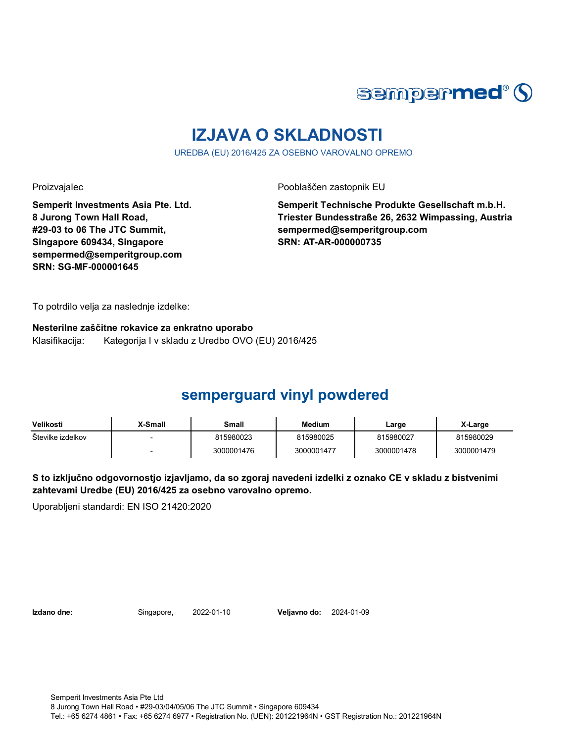

## **IZJAVA O SKLADNOSTI**

UREDBA (EU) 2016/425 ZA OSEBNO VAROVALNO OPREMO

Proizvajalec **Proizvajalec** Pooblaščen zastopnik EU

**Semperit Investments Asia Pte. Ltd. 8 Jurong Town Hall Road, #29-03 to 06 The JTC Summit, Singapore 609434, Singapore sempermed@semperitgroup.com SRN: SG-MF-000001645**

**Semperit Technische Produkte Gesellschaft m.b.H. Triester Bundesstraße 26, 2632 Wimpassing, Austria sempermed@semperitgroup.com SRN: AT-AR-000000735**

To potrdilo velja za naslednje izdelke:

**Nesterilne zaščitne rokavice za enkratno uporabo** Klasifikacija: Kategorija I v skladu z Uredbo OVO (EU) 2016/425

## **semperguard vinyl powdered**

| Velikosti         | X-Small | Small      | <b>Medium</b> | Large      | X-Large    |
|-------------------|---------|------------|---------------|------------|------------|
| Stevilke izdelkov |         | 815980023  | 815980025     | 815980027  | 815980029  |
|                   |         | 3000001476 | 3000001477    | 3000001478 | 3000001479 |

**S to izključno odgovornostjo izjavljamo, da so zgoraj navedeni izdelki z oznako CE v skladu z bistvenimi zahtevami Uredbe (EU) 2016/425 za osebno varovalno opremo.**

Uporabljeni standardi: EN ISO 21420:2020

**Izdano dne:** Singapore, **Veljavno do:** 2022-01-10 2024-01-09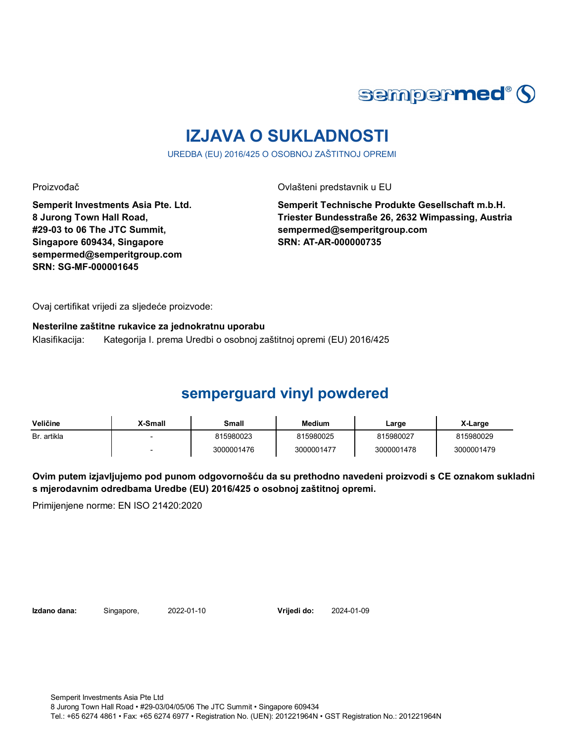

## **IZJAVA O SUKLADNOSTI**

UREDBA (EU) 2016/425 O OSOBNOJ ZAŠTITNOJ OPREMI

Proizvođač **Ovlašteni predstavnik u EU** 

**Semperit Investments Asia Pte. Ltd. 8 Jurong Town Hall Road, #29-03 to 06 The JTC Summit, Singapore 609434, Singapore sempermed@semperitgroup.com SRN: SG-MF-000001645**

**Semperit Technische Produkte Gesellschaft m.b.H. Triester Bundesstraße 26, 2632 Wimpassing, Austria sempermed@semperitgroup.com SRN: AT-AR-000000735**

Ovaj certifikat vrijedi za sljedeće proizvode:

**Nesterilne zaštitne rukavice za jednokratnu uporabu** Klasifikacija: Kategorija I. prema Uredbi o osobnoj zaštitnoj opremi (EU) 2016/425

## **semperguard vinyl powdered**

| Veličine    | X-Small                  | Small      | Medium     | Large      | X-Large    |
|-------------|--------------------------|------------|------------|------------|------------|
| Br. artikla |                          | 815980023  | 815980025  | 815980027  | 815980029  |
|             | $\overline{\phantom{0}}$ | 3000001476 | 3000001477 | 3000001478 | 3000001479 |

**Ovim putem izjavljujemo pod punom odgovornošću da su prethodno navedeni proizvodi s CE oznakom sukladni s mjerodavnim odredbama Uredbe (EU) 2016/425 o osobnoj zaštitnoj opremi.**

Primijenjene norme: EN ISO 21420:2020

**Izdano dana:** Singapore, 2022-01-10

**Vrijedi do:** 2024-01-09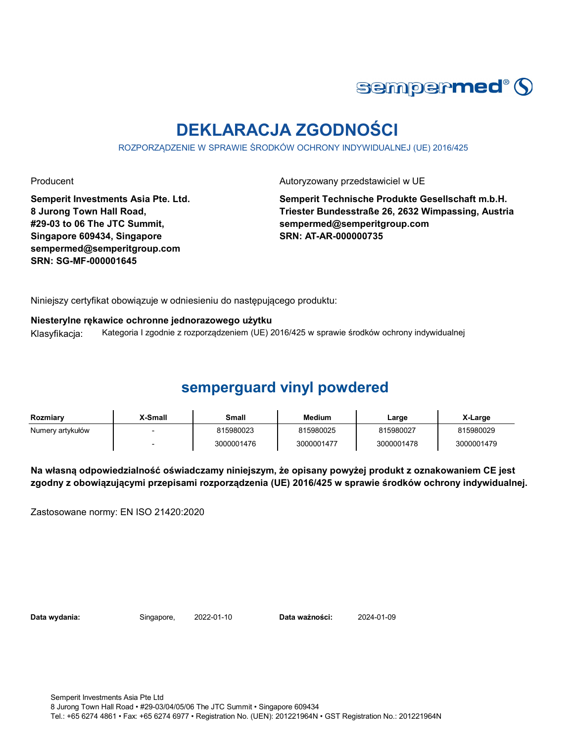

## **DEKLARACJA ZGODNOŚCI**

ROZPORZĄDZENIE W SPRAWIE ŚRODKÓW OCHRONY INDYWIDUALNEJ (UE) 2016/425

Producent **Autoryzowany przedstawiciel w UE** 

**Semperit Investments Asia Pte. Ltd. 8 Jurong Town Hall Road, #29-03 to 06 The JTC Summit, Singapore 609434, Singapore sempermed@semperitgroup.com SRN: SG-MF-000001645**

**Semperit Technische Produkte Gesellschaft m.b.H. Triester Bundesstraße 26, 2632 Wimpassing, Austria sempermed@semperitgroup.com SRN: AT-AR-000000735**

Niniejszy certyfikat obowiązuje w odniesieniu do następującego produktu:

**Niesterylne rękawice ochronne jednorazowego użytku**

Klasyfikacja: Kategoria I zgodnie z rozporządzeniem (UE) 2016/425 w sprawie środków ochrony indywidualnej

## **semperguard vinyl powdered**

| Rozmiarv         | ,X-Small | Small      | <b>Medium</b> | Large      | X-Large    |
|------------------|----------|------------|---------------|------------|------------|
| Numery artykułów |          | 815980023  | 815980025     | 815980027  | 815980029  |
|                  |          | 3000001476 | 3000001477    | 3000001478 | 3000001479 |

**Na własną odpowiedzialność oświadczamy niniejszym, że opisany powyżej produkt z oznakowaniem CE jest zgodny z obowiązującymi przepisami rozporządzenia (UE) 2016/425 w sprawie środków ochrony indywidualnej.**

Zastosowane normy: EN ISO 21420:2020

Data wydania: Singapore, 2022-01-10

Data ważności: 2024-01-09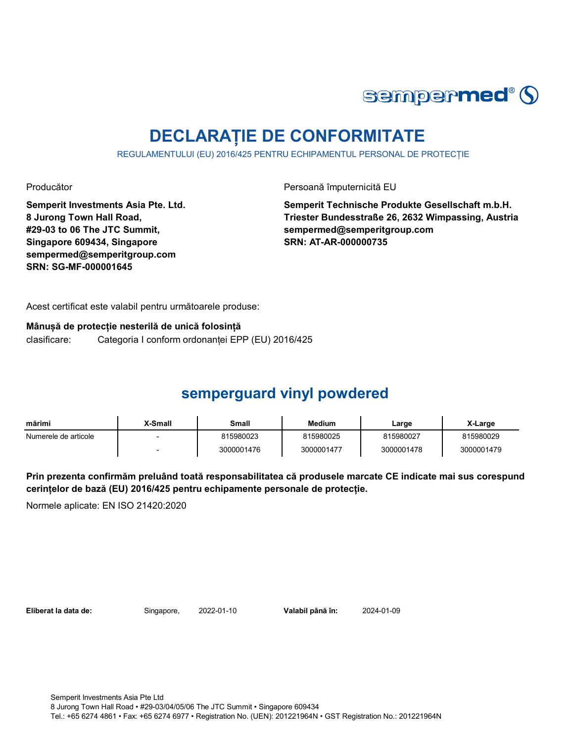

## **DECLARAȚIE DE CONFORMITATE**

REGULAMENTULUI (EU) 2016/425 PENTRU ECHIPAMENTUL PERSONAL DE PROTECȚIE

Producător **Producător** Persoană împuternicită EU

**Semperit Investments Asia Pte. Ltd. 8 Jurong Town Hall Road, #29-03 to 06 The JTC Summit, Singapore 609434, Singapore sempermed@semperitgroup.com SRN: SG-MF-000001645**

**Semperit Technische Produkte Gesellschaft m.b.H. Triester Bundesstraße 26, 2632 Wimpassing, Austria sempermed@semperitgroup.com SRN: AT-AR-000000735**

Acest certificat este valabil pentru următoarele produse:

#### **Mânușă de protecție nesterilă de unică folosință**

clasificare: Categoria I conform ordonanței EPP (EU) 2016/425

### **semperguard vinyl powdered**

| mărimi               | X-Small | Small      | <b>Medium</b> | Large      | X-Large    |
|----------------------|---------|------------|---------------|------------|------------|
| Numerele de articole |         | 815980023  | 815980025     | 815980027  | 815980029  |
|                      |         | 3000001476 | 3000001477    | 3000001478 | 3000001479 |

**Prin prezenta confirmăm preluând toată responsabilitatea că produsele marcate CE indicate mai sus corespund cerințelor de bază (EU) 2016/425 pentru echipamente personale de protecție.**

Normele aplicate: EN ISO 21420:2020

**Eliberat la data de:** Singapore, 2022-01-10

Valabil până în: 2024-01-09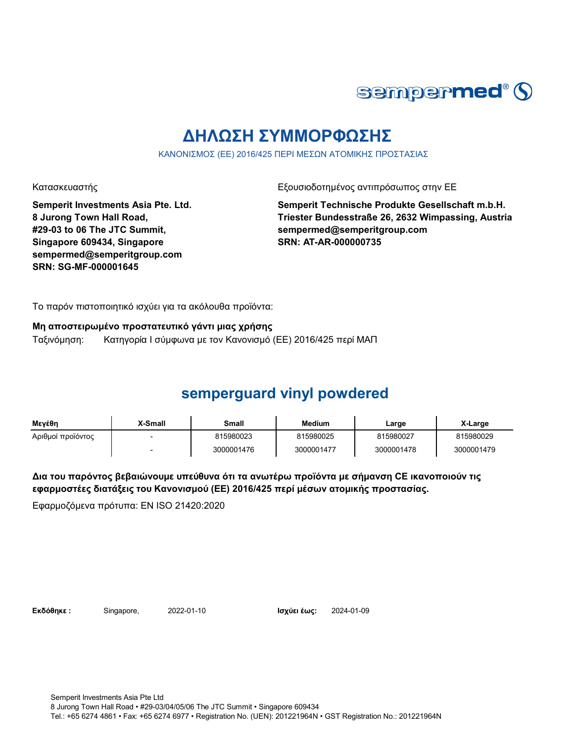

## **ΔΗΛΩΣΗ ΣΥΜΜΟΡΦΩΣΗΣ**

ΚΑΝΟΝΙΣΜΟΣ (ΕΕ) 2016/425 ΠΕΡΙ ΜΕΣΩΝ ΑΤΟΜΙΚΗΣ ΠΡΟΣΤΑΣΙΑΣ

Κατασκευαστής Γεριοδοτημένος αντιπρόσωπος στην ΕΕ

**Semperit Investments Asia Pte. Ltd. 8 Jurong Town Hall Road, #29-03 to 06 The JTC Summit, Singapore 609434, Singapore sempermed@semperitgroup.com SRN: SG-MF-000001645**

**Semperit Technische Produkte Gesellschaft m.b.H. Triester Bundesstraße 26, 2632 Wimpassing, Austria sempermed@semperitgroup.com SRN: AT-AR-000000735**

Το παρόν πιστοποιητικό ισχύει για τα ακόλουθα προϊόντα:

**Μη αποστειρωμένο προστατευτικό γάντι μιας χρήσης**

Ταξινόμηση: Κατηγορία I σύμφωνα με τον Κανονισμό (ΕΕ) 2016/425 περί ΜΑΠ

## **semperguard vinyl powdered**

| Μενέθη            | X-Small | Small      | <b>Medium</b> | Large      | X-Large    |
|-------------------|---------|------------|---------------|------------|------------|
| Αριθμοί προϊόντος |         | 815980023  | 815980025     | 815980027  | 815980029  |
|                   |         | 3000001476 | 3000001477    | 3000001478 | 3000001479 |

**Δια του παρόντος βεβαιώνουμε υπεύθυνα ότι τα ανωτέρω προϊόντα με σήμανση CE ικανοποιούν τις εφαρμοστέες διατάξεις του Κανονισμού (ΕΕ) 2016/425 περί μέσων ατομικής προστασίας.**

Εφαρμοζόμενα πρότυπα: EN ISO 21420:2020

**Εκδόθηκε : Singapore, 2022-01-10 <b>Ισχύει έως:** 2024-01-09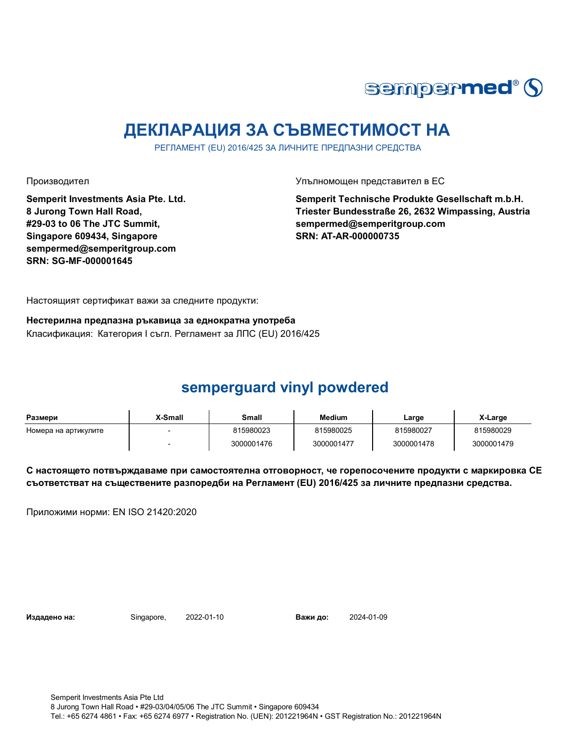

## **ДЕКЛАРАЦИЯ ЗА СЪВМЕСТИМОСТ НА**

РЕГЛАМЕНТ (EU) 2016/425 ЗА ЛИЧНИТЕ ПРЕДПАЗНИ СРЕДСТВА

**Semperit Investments Asia Pte. Ltd. 8 Jurong Town Hall Road, #29-03 to 06 The JTC Summit, Singapore 609434, Singapore sempermed@semperitgroup.com SRN: SG-MF-000001645**

Производител Упълномощен представител в ЕС

**Semperit Technische Produkte Gesellschaft m.b.H. Triester Bundesstraße 26, 2632 Wimpassing, Austria sempermed@semperitgroup.com SRN: AT-AR-000000735**

Настоящият сертификат важи за следните продукти:

**Нестерилна предпазна ръкавица за еднократна употреба** Класификация: Категория I съгл. Регламент за ЛПС (EU) 2016/425

## **semperguard vinyl powdered**

| Размери              | X-Small | Small      | Medium     | Large      | X-Large    |
|----------------------|---------|------------|------------|------------|------------|
| Номера на артикулите |         | 815980023  | 815980025  | 815980027  | 815980029  |
|                      |         | 3000001476 | 3000001477 | 3000001478 | 3000001479 |

**С настоящето потвърждаваме при самостоятелна отговорност, че горепосочените продукти с маркировка СЕ съответстват на съществените разпоредби на Регламент (EU) 2016/425 за личните предпазни средства.**

Приложими норми: EN ISO 21420:2020

**Издадено на:** Singapore, 2022-01-10

Важи до: 2024-01-09